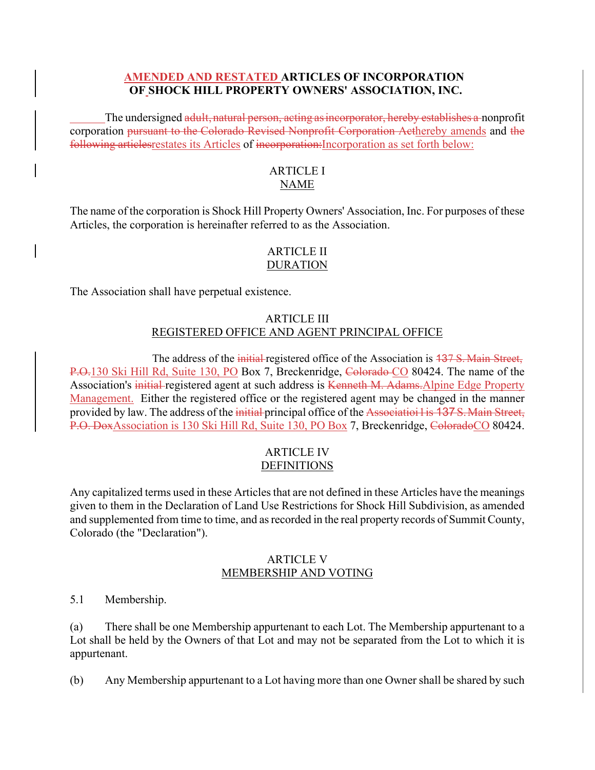# **AMENDED AND RESTATED ARTICLES OF INCORPORATION OF SHOCK HILL PROPERTY OWNERS' ASSOCIATION, INC.**

The undersigned adult, natural person, acting as incorporator, hereby establishes a nonprofit corporation pursuant to the Colorado Revised Nonprofit Corporation Acthereby amends and the following articles restates its Articles of incorporation: Incorporation as set forth below:

# ARTICLE I NAME

The name of the corporation is Shock Hill Property Owners' Association, Inc. For purposes of these Articles, the corporation is hereinafter referred to as the Association.

# ARTICLE II DURATION

The Association shall have perpetual existence.

# ARTICLE III REGISTERED OFFICE AND AGENT PRINCIPAL OFFICE

The address of the initial registered office of the Association is 137 S. Main Street, P.O.130 Ski Hill Rd, Suite 130, PO Box 7, Breckenridge, Colorado CO 80424. The name of the Association's initial registered agent at such address is Kenneth M. Adams. Alpine Edge Property Management. Either the registered office or the registered agent may be changed in the manner provided by law. The address of the initial principal office of the Associatioi lis 137 S. Main Street, P.O. DoxAssociation is 130 Ski Hill Rd, Suite 130, PO Box 7, Breckenridge, ColoradoCO 80424.

# ARTICLE IV DEFINITIONS

Any capitalized terms used in these Articles that are not defined in these Articles have the meanings given to them in the Declaration of Land Use Restrictions for Shock Hill Subdivision, as amended and supplemented from time to time, and as recorded in the real property records of Summit County, Colorado (the "Declaration").

# ARTICLE V MEMBERSHIP AND VOTING

5.1 Membership.

(a) There shall be one Membership appurtenant to each Lot. The Membership appurtenant to a Lot shall be held by the Owners of that Lot and may not be separated from the Lot to which it is appurtenant.

(b) Any Membership appurtenant to a Lot having more than one Owner shall be shared by such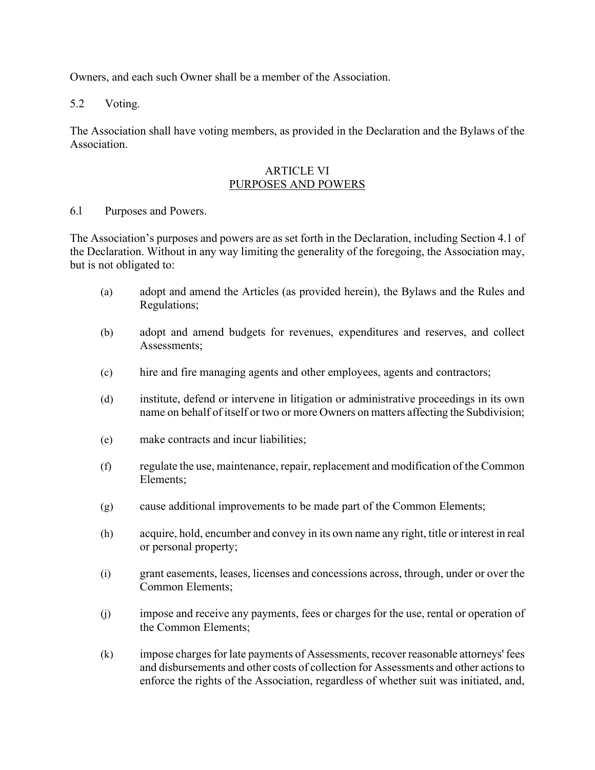Owners, and each such Owner shall be a member of the Association.

5.2 Voting.

The Association shall have voting members, as provided in the Declaration and the Bylaws of the Association.

# ARTICLE VI PURPOSES AND POWERS

# 6.l Purposes and Powers.

The Association's purposes and powers are as set forth in the Declaration, including Section 4.1 of the Declaration. Without in any way limiting the generality of the foregoing, the Association may, but is not obligated to:

- (a) adopt and amend the Articles (as provided herein), the Bylaws and the Rules and Regulations;
- (b) adopt and amend budgets for revenues, expenditures and reserves, and collect Assessments;
- (c) hire and fire managing agents and other employees, agents and contractors;
- (d) institute, defend or intervene in litigation or administrative proceedings in its own name on behalf of itself or two or more Owners on matters affecting the Subdivision;
- (e) make contracts and incur liabilities;
- (f) regulate the use, maintenance, repair, replacement and modification of the Common Elements;
- (g) cause additional improvements to be made part of the Common Elements;
- (h) acquire, hold, encumber and convey in its own name any right, title or interest in real or personal property;
- (i) grant easements, leases, licenses and concessions across, through, under or over the Common Elements;
- (j) impose and receive any payments, fees or charges for the use, rental or operation of the Common Elements;
- (k) impose charges for late payments of Assessments, recover reasonable attorneys' fees and disbursements and other costs of collection for Assessments and other actions to enforce the rights of the Association, regardless of whether suit was initiated, and,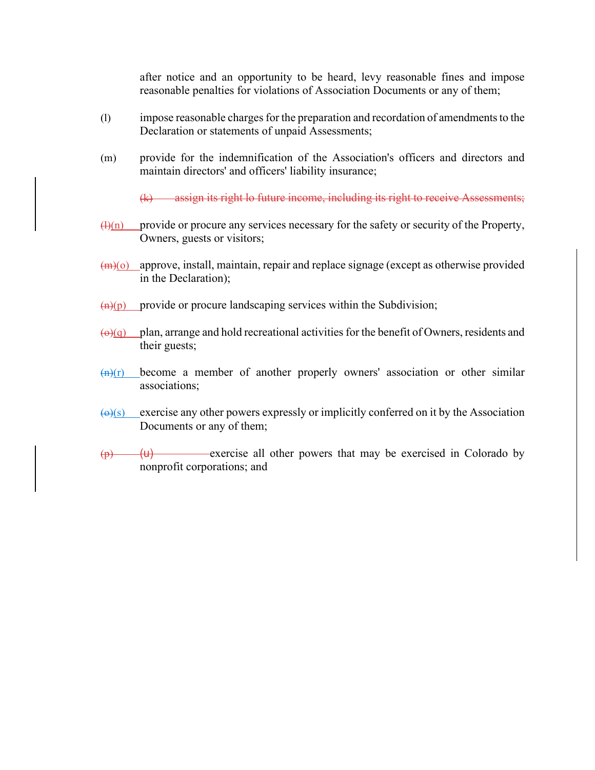after notice and an opportunity to be heard, levy reasonable fines and impose reasonable penalties for violations of Association Documents or any of them;

- (l) impose reasonable charges for the preparation and recordation of amendments to the Declaration or statements of unpaid Assessments;
- (m) provide for the indemnification of the Association's officers and directors and maintain directors' and officers' liability insurance;

(k) assign its right lo future income, including its right to receive Assessments;

- $(H)(n)$  provide or procure any services necessary for the safety or security of the Property, Owners, guests or visitors;
- $(m)(o)$  approve, install, maintain, repair and replace signage (except as otherwise provided in the Declaration);
- $\frac{f(n)(p)}{p}$  provide or procure landscaping services within the Subdivision;
- $\overline{(0)}$  plan, arrange and hold recreational activities for the benefit of Owners, residents and their guests;
- $\frac{f(n)(r)}{r}$  become a member of another properly owners' association or other similar associations;
- $\left(\frac{\Theta}{s}\right)$  exercise any other powers expressly or implicitly conferred on it by the Association Documents or any of them;
- $\overline{u}(p)$  (u) exercise all other powers that may be exercised in Colorado by nonprofit corporations; and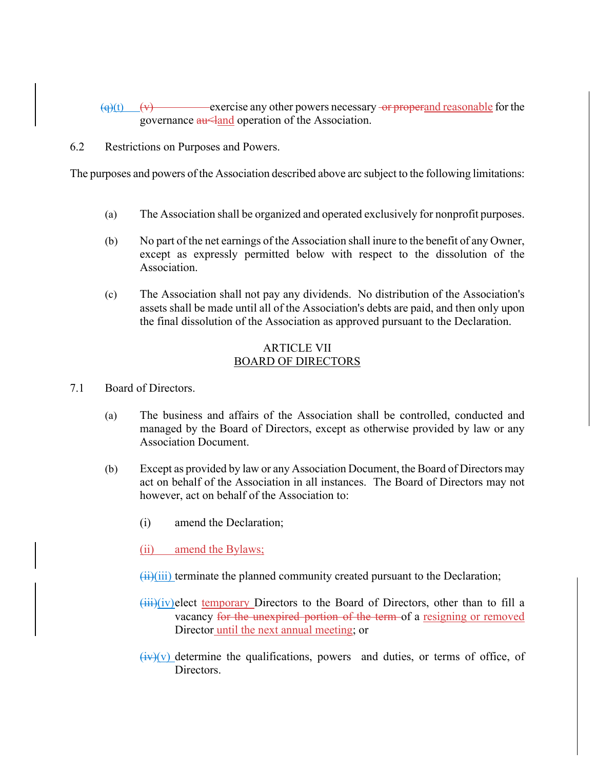$\left(\frac{q}{r}\right)$  (v) exercise any other powers necessary or properand reasonable for the governance  $\frac{au}{au}$  and operation of the Association.

6.2 Restrictions on Purposes and Powers.

The purposes and powers of the Association described above arc subject to the following limitations:

- (a) The Association shall be organized and operated exclusively for nonprofit purposes.
- (b) No part of the net earnings of the Association shall inure to the benefit of any Owner, except as expressly permitted below with respect to the dissolution of the Association.
- (c) The Association shall not pay any dividends. No distribution of the Association's assets shall be made until all of the Association's debts are paid, and then only upon the final dissolution of the Association as approved pursuant to the Declaration.

# ARTICLE VII BOARD OF DIRECTORS

- 7.1 Board of Directors.
	- (a) The business and affairs of the Association shall be controlled, conducted and managed by the Board of Directors, except as otherwise provided by law or any Association Document.
	- (b) Except as provided by law or any Association Document, the Board of Directors may act on behalf of the Association in all instances. The Board of Directors may not however, act on behalf of the Association to:
		- (i) amend the Declaration;
		- (ii) amend the Bylaws;
		- $(iii)(iii)$  terminate the planned community created pursuant to the Declaration;
		- $\overline{\text{iii}}$ (iv)elect temporary Directors to the Board of Directors, other than to fill a vacancy for the unexpired portion of the term of a resigning or removed Director until the next annual meeting; or
		- $(iv)(v)$  determine the qualifications, powers and duties, or terms of office, of Directors.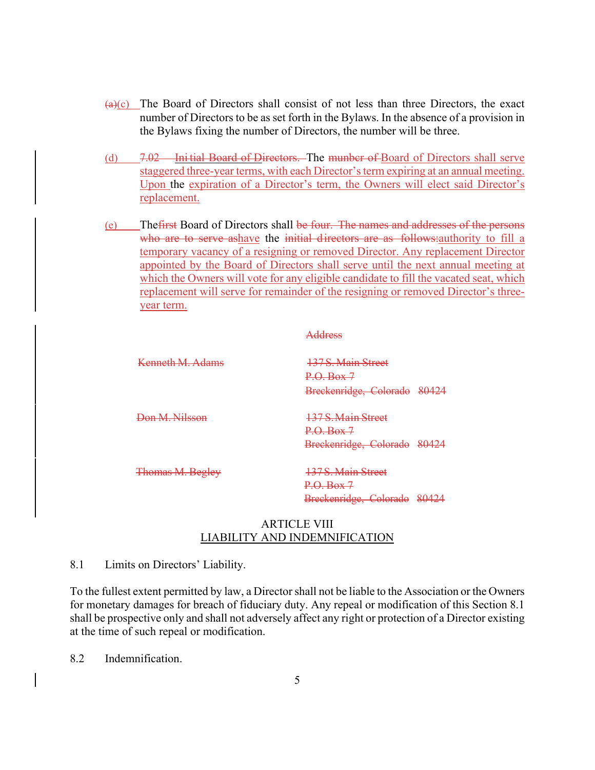- $\left(\frac{a}{c}\right)$  The Board of Directors shall consist of not less than three Directors, the exact number of Directors to be as set forth in the Bylaws. In the absence of a provision in the Bylaws fixing the number of Directors, the number will be three.
- (d) 7.02 Ini tial Board of Directors. The munber of Board of Directors shall serve staggered three-year terms, with each Director's term expiring at an annual meeting. Upon the expiration of a Director's term, the Owners will elect said Director's replacement.
- (e) Thefirst Board of Directors shall be four. The names and addresses of the persons who are to serve ashave the initial directors are as follows: authority to fill a temporary vacancy of a resigning or removed Director. Any replacement Director appointed by the Board of Directors shall serve until the next annual meeting at which the Owners will vote for any eligible candidate to fill the vacated seat, which replacement will serve for remainder of the resigning or removed Director's threeyear term.

|                  | Address                      |
|------------------|------------------------------|
| Kenneth M Adams  | 137 S. Main Street           |
|                  | P. Q. Box 7                  |
|                  | Breckenridge, Colorado 80424 |
| Don M. Nilsson   | 137 S. Main Street           |
|                  | $P. \Theta$ . Box 7          |
|                  | Breckenridge, Colorado 80424 |
| Thomas M. Begley | 137 S. Main Street           |
|                  | P. Q. Box 7                  |
|                  | Breckenridge, Colorado 80424 |

#### ARTICLE VIII LIABILITY AND INDEMNIFICATION

#### 8.1 Limits on Directors' Liability.

To the fullest extent permitted by law, a Director shall not be liable to the Association or the Owners for monetary damages for breach of fiduciary duty. Any repeal or modification of this Section 8.1 shall be prospective only and shall not adversely affect any right or protection of a Director existing at the time of such repeal or modification.

8.2 Indemnification.